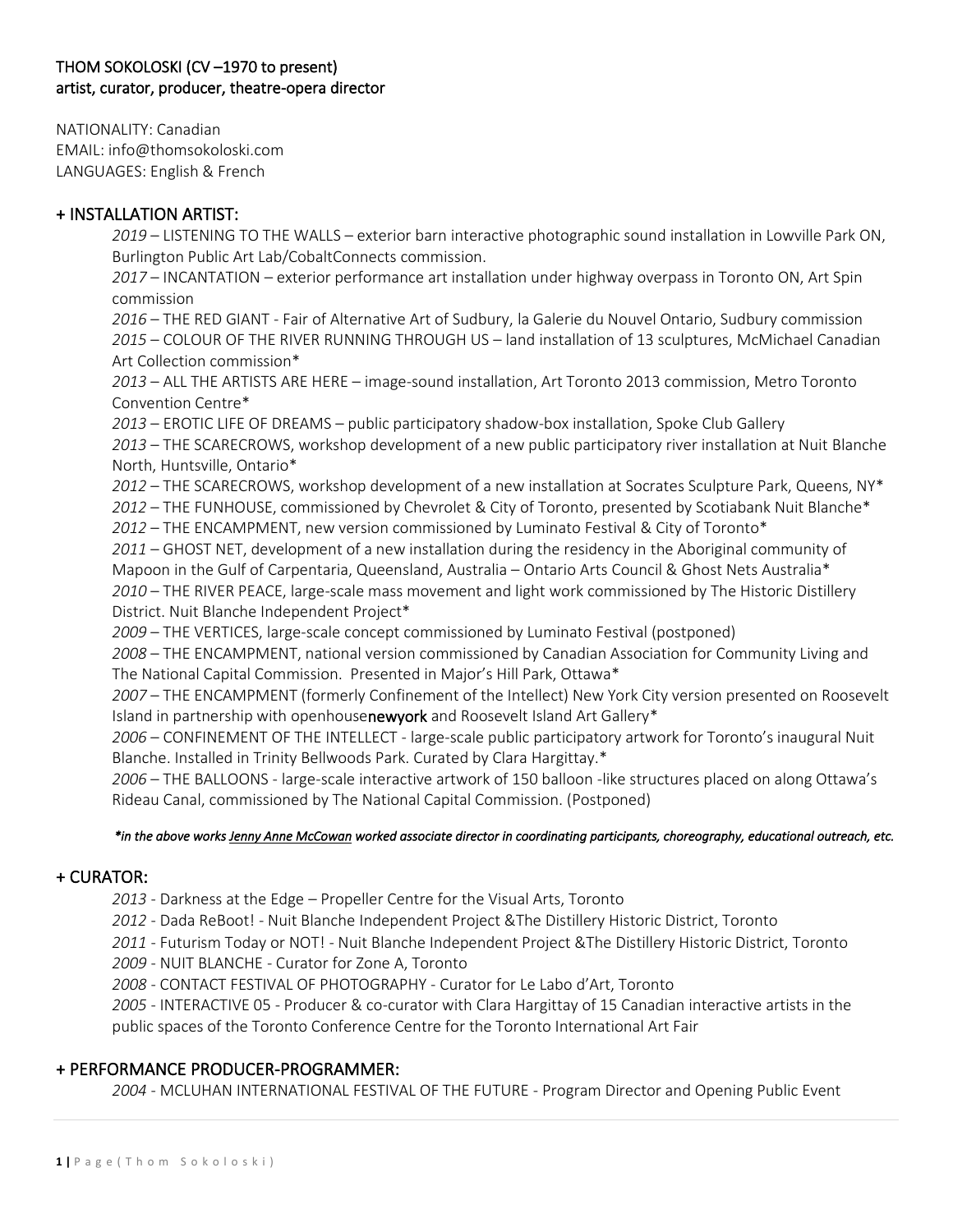## THOM SOKOLOSKI (CV –1970 to present) artist, curator, producer, theatre-opera director

NATIONALITY: Canadian EMAIL: info@thomsokoloski.com LANGUAGES: English & French

## + INSTALLATION ARTIST:

*2019* – LISTENING TO THE WALLS – exterior barn interactive photographic sound installation in Lowville Park ON, Burlington Public Art Lab/CobaltConnects commission.

*2017* – INCANTATION – exterior performance art installation under highway overpass in Toronto ON, Art Spin commission

*2016* – THE RED GIANT - Fair of Alternative Art of Sudbury, la Galerie du Nouvel Ontario, Sudbury commission *2015* – COLOUR OF THE RIVER RUNNING THROUGH US – land installation of 13 sculptures, McMichael Canadian Art Collection commission\*

*2013* – ALL THE ARTISTS ARE HERE – image-sound installation, Art Toronto 2013 commission, Metro Toronto Convention Centre\*

*2013* – EROTIC LIFE OF DREAMS – public participatory shadow-box installation, Spoke Club Gallery

*2013* – THE SCARECROWS, workshop development of a new public participatory river installation at Nuit Blanche North, Huntsville, Ontario\*

*2012* – THE SCARECROWS, workshop development of a new installation at Socrates Sculpture Park, Queens, NY\* *2012* – THE FUNHOUSE, commissioned by Chevrolet & City of Toronto, presented by Scotiabank Nuit Blanche\*

*2012* – THE ENCAMPMENT, new version commissioned by Luminato Festival & City of Toronto\*

*2011* – GHOST NET, development of a new installation during the residency in the Aboriginal community of Mapoon in the Gulf of Carpentaria, Queensland, Australia – Ontario Arts Council & Ghost Nets Australia\* *2010* – THE RIVER PEACE, large-scale mass movement and light work commissioned by The Historic Distillery District. Nuit Blanche Independent Project\*

*2009* – THE VERTICES, large-scale concept commissioned by Luminato Festival (postponed)

*2008* – THE ENCAMPMENT, national version commissioned by Canadian Association for Community Living and The National Capital Commission. Presented in Major's Hill Park, Ottawa\*

*2007* – THE ENCAMPMENT (formerly Confinement of the Intellect) New York City version presented on Roosevelt Island in partnership with openhousenewyork and Roosevelt Island Art Gallery\*

*2006* – CONFINEMENT OF THE INTELLECT - large-scale public participatory artwork for Toronto's inaugural Nuit Blanche. Installed in Trinity Bellwoods Park. Curated by Clara Hargittay.\*

*2006* – THE BALLOONS - large-scale interactive artwork of 150 balloon -like structures placed on along Ottawa's Rideau Canal, commissioned by The National Capital Commission. (Postponed)

### *\*in the above works Jenny Anne McCowan worked associate director in coordinating participants, choreography, educational outreach, etc.*

# + CURATOR:

*2013* - Darkness at the Edge – Propeller Centre for the Visual Arts, Toronto

*2012* - Dada ReBoot! - Nuit Blanche Independent Project &The Distillery Historic District, Toronto

*2011* - Futurism Today or NOT! - Nuit Blanche Independent Project &The Distillery Historic District, Toronto

*2009* - NUIT BLANCHE - Curator for Zone A, Toronto

*2008* - CONTACT FESTIVAL OF PHOTOGRAPHY - Curator for Le Labo d'Art, Toronto

*2005* - INTERACTIVE 05 - Producer & co-curator with Clara Hargittay of 15 Canadian interactive artists in the public spaces of the Toronto Conference Centre for the Toronto International Art Fair

### + PERFORMANCE PRODUCER-PROGRAMMER:

*2004* - MCLUHAN INTERNATIONAL FESTIVAL OF THE FUTURE - Program Director and Opening Public Event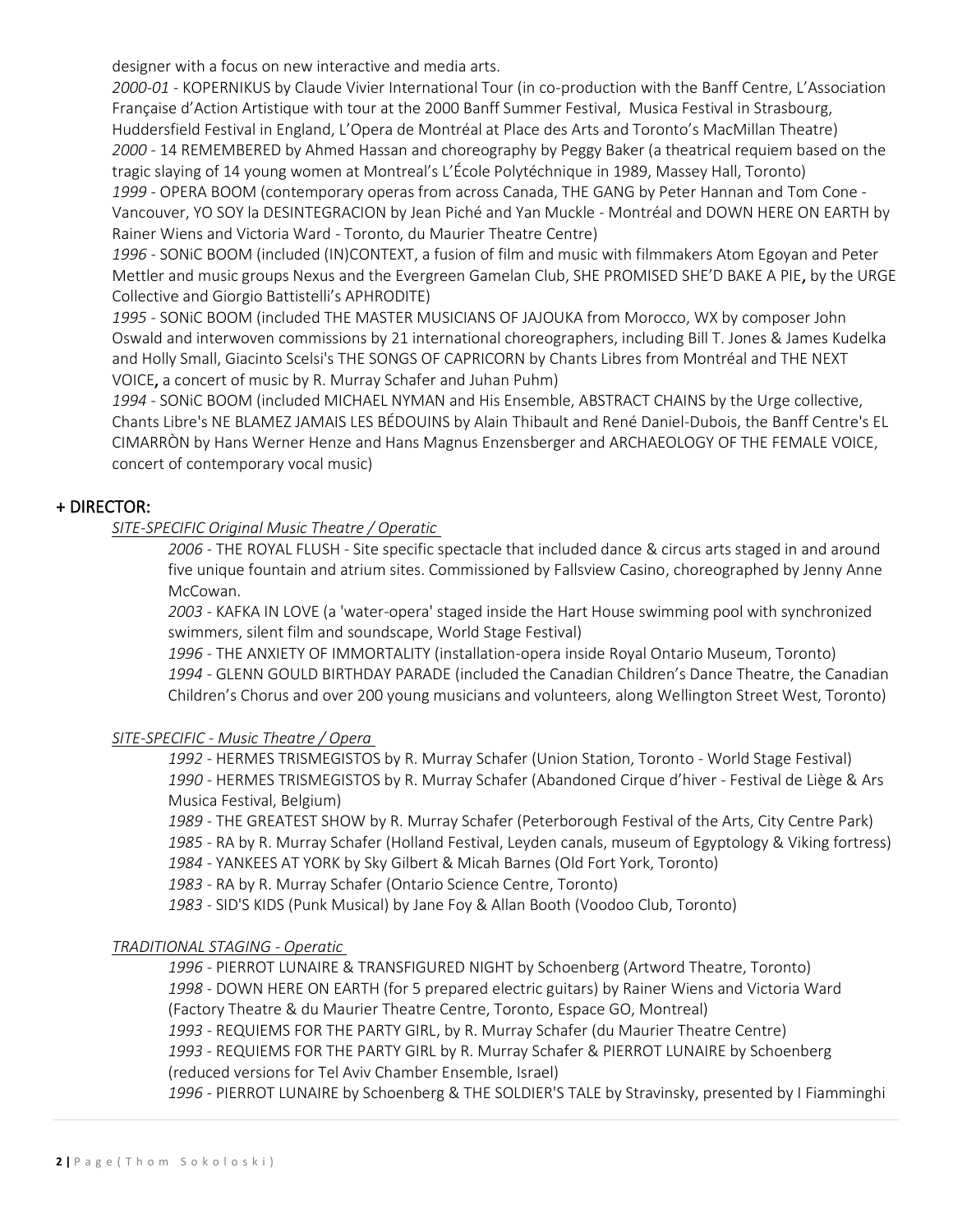designer with a focus on new interactive and media arts.

*2000-01* - KOPERNIKUS by Claude Vivier International Tour (in co-production with the Banff Centre, L'Association Française d'Action Artistique with tour at the 2000 Banff Summer Festival, Musica Festival in Strasbourg, Huddersfield Festival in England, L'Opera de Montréal at Place des Arts and Toronto's MacMillan Theatre) *2000* - 14 REMEMBERED by Ahmed Hassan and choreography by Peggy Baker (a theatrical requiem based on the tragic slaying of 14 young women at Montreal's L'École Polytéchnique in 1989, Massey Hall, Toronto) *1999* - OPERA BOOM (contemporary operas from across Canada, THE GANG by Peter Hannan and Tom Cone - Vancouver, YO SOY la DESINTEGRACION by Jean Piché and Yan Muckle - Montréal and DOWN HERE ON EARTH by Rainer Wiens and Victoria Ward - Toronto, du Maurier Theatre Centre)

*1996* - SONiC BOOM (included (IN)CONTEXT, a fusion of film and music with filmmakers Atom Egoyan and Peter Mettler and music groups Nexus and the Evergreen Gamelan Club, SHE PROMISED SHE'D BAKE A PIE, by the URGE Collective and Giorgio Battistelli's APHRODITE)

*1995* - SONiC BOOM (included THE MASTER MUSICIANS OF JAJOUKA from Morocco, WX by composer John Oswald and interwoven commissions by 21 international choreographers, including Bill T. Jones & James Kudelka and Holly Small, Giacinto Scelsi's THE SONGS OF CAPRICORN by Chants Libres from Montréal and THE NEXT VOICE, a concert of music by R. Murray Schafer and Juhan Puhm)

*1994* - SONiC BOOM (included MICHAEL NYMAN and His Ensemble, ABSTRACT CHAINS by the Urge collective, Chants Libre's NE BLAMEZ JAMAIS LES BÉDOUINS by Alain Thibault and René Daniel-Dubois, the Banff Centre's EL CIMARRÒN by Hans Werner Henze and Hans Magnus Enzensberger and ARCHAEOLOGY OF THE FEMALE VOICE, concert of contemporary vocal music)

# + DIRECTOR:

*SITE-SPECIFIC Original Music Theatre / Operatic* 

*2006* - THE ROYAL FLUSH - Site specific spectacle that included dance & circus arts staged in and around five unique fountain and atrium sites. Commissioned by Fallsview Casino, choreographed by Jenny Anne McCowan.

*2003* - KAFKA IN LOVE (a 'water-opera' staged inside the Hart House swimming pool with synchronized swimmers, silent film and soundscape, World Stage Festival)

*1996* - THE ANXIETY OF IMMORTALITY (installation-opera inside Royal Ontario Museum, Toronto) *1994* - GLENN GOULD BIRTHDAY PARADE (included the Canadian Children's Dance Theatre, the Canadian Children's Chorus and over 200 young musicians and volunteers, along Wellington Street West, Toronto)

# *SITE-SPECIFIC - Music Theatre / Opera*

*1992* - HERMES TRISMEGISTOS by R. Murray Schafer (Union Station, Toronto - World Stage Festival) *1990* - HERMES TRISMEGISTOS by R. Murray Schafer (Abandoned Cirque d'hiver - Festival de Liège & Ars Musica Festival, Belgium)

*1989* - THE GREATEST SHOW by R. Murray Schafer (Peterborough Festival of the Arts, City Centre Park) *1985* - RA by R. Murray Schafer (Holland Festival, Leyden canals, museum of Egyptology & Viking fortress) *1984* - YANKEES AT YORK by Sky Gilbert & Micah Barnes (Old Fort York, Toronto)

*1983* - RA by R. Murray Schafer (Ontario Science Centre, Toronto)

*1983* - SID'S KIDS (Punk Musical) by Jane Foy & Allan Booth (Voodoo Club, Toronto)

### *TRADITIONAL STAGING - Operatic*

 - PIERROT LUNAIRE & TRANSFIGURED NIGHT by Schoenberg (Artword Theatre, Toronto) - DOWN HERE ON EARTH (for 5 prepared electric guitars) by Rainer Wiens and Victoria Ward (Factory Theatre & du Maurier Theatre Centre, Toronto, Espace GO, Montreal) - REQUIEMS FOR THE PARTY GIRL, by R. Murray Schafer (du Maurier Theatre Centre)

*1993* - REQUIEMS FOR THE PARTY GIRL by R. Murray Schafer & PIERROT LUNAIRE by Schoenberg

(reduced versions for Tel Aviv Chamber Ensemble, Israel)

*1996* - PIERROT LUNAIRE by Schoenberg & THE SOLDIER'S TALE by Stravinsky, presented by I Fiamminghi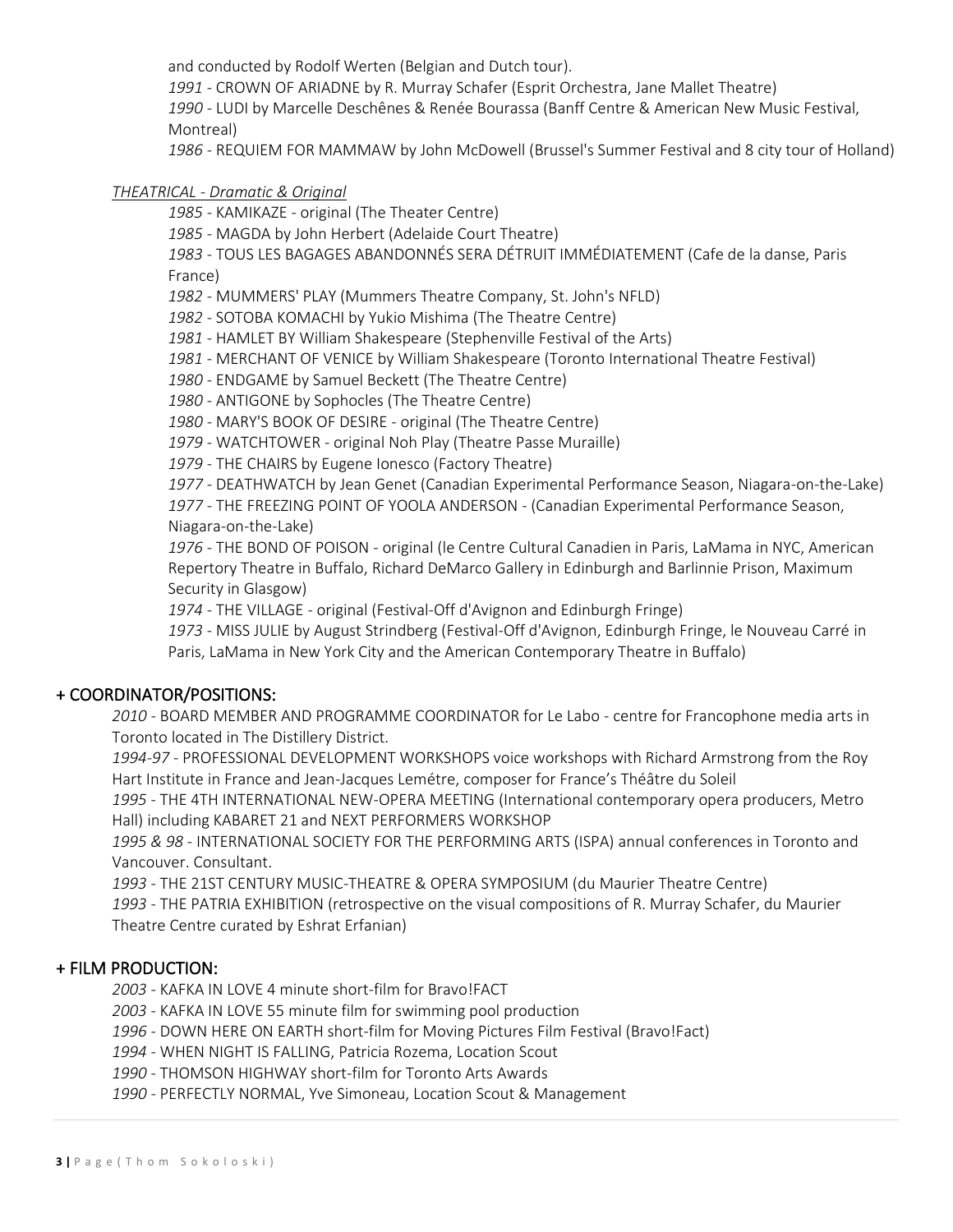and conducted by Rodolf Werten (Belgian and Dutch tour).

- CROWN OF ARIADNE by R. Murray Schafer (Esprit Orchestra, Jane Mallet Theatre)

 - LUDI by Marcelle Deschênes & Renée Bourassa (Banff Centre & American New Music Festival, Montreal)

- REQUIEM FOR MAMMAW by John McDowell (Brussel's Summer Festival and 8 city tour of Holland)

### *THEATRICAL - Dramatic & Original*

- KAMIKAZE - original (The Theater Centre)

- MAGDA by John Herbert (Adelaide Court Theatre)

 - TOUS LES BAGAGES ABANDONNÉS SERA DÉTRUIT IMMÉDIATEMENT (Cafe de la danse, Paris France)

- MUMMERS' PLAY (Mummers Theatre Company, St. John's NFLD)

- SOTOBA KOMACHI by Yukio Mishima (The Theatre Centre)

- HAMLET BY William Shakespeare (Stephenville Festival of the Arts)

- MERCHANT OF VENICE by William Shakespeare (Toronto International Theatre Festival)

- ENDGAME by Samuel Beckett (The Theatre Centre)

- ANTIGONE by Sophocles (The Theatre Centre)

- MARY'S BOOK OF DESIRE - original (The Theatre Centre)

- WATCHTOWER - original Noh Play (Theatre Passe Muraille)

- THE CHAIRS by Eugene Ionesco (Factory Theatre)

 - DEATHWATCH by Jean Genet (Canadian Experimental Performance Season, Niagara-on-the-Lake) - THE FREEZING POINT OF YOOLA ANDERSON - (Canadian Experimental Performance Season,

Niagara-on-the-Lake)

 - THE BOND OF POISON - original (le Centre Cultural Canadien in Paris, LaMama in NYC, American Repertory Theatre in Buffalo, Richard DeMarco Gallery in Edinburgh and Barlinnie Prison, Maximum Security in Glasgow)

- THE VILLAGE - original (Festival-Off d'Avignon and Edinburgh Fringe)

- MISS JULIE by August Strindberg (Festival-Off d'Avignon, Edinburgh Fringe, le Nouveau Carré in Paris, LaMama in New York City and the American Contemporary Theatre in Buffalo)

# + COORDINATOR/POSITIONS:

 - BOARD MEMBER AND PROGRAMME COORDINATOR for Le Labo - centre for Francophone media arts in Toronto located in The Distillery District.

*1994-97* - PROFESSIONAL DEVELOPMENT WORKSHOPS voice workshops with Richard Armstrong from the Roy Hart Institute in France and Jean-Jacques Lemétre, composer for France's Théâtre du Soleil

 - THE 4TH INTERNATIONAL NEW-OPERA MEETING (International contemporary opera producers, Metro Hall) including KABARET 21 and NEXT PERFORMERS WORKSHOP

*1995 & 98* - INTERNATIONAL SOCIETY FOR THE PERFORMING ARTS (ISPA) annual conferences in Toronto and Vancouver. Consultant.

- THE 21ST CENTURY MUSIC-THEATRE & OPERA SYMPOSIUM (du Maurier Theatre Centre)

 - THE PATRIA EXHIBITION (retrospective on the visual compositions of R. Murray Schafer, du Maurier Theatre Centre curated by Eshrat Erfanian)

# + FILM PRODUCTION:

- KAFKA IN LOVE 4 minute short-film for Bravo!FACT

- KAFKA IN LOVE 55 minute film for swimming pool production

- DOWN HERE ON EARTH short-film for Moving Pictures Film Festival (Bravo!Fact)

- WHEN NIGHT IS FALLING, Patricia Rozema, Location Scout

- THOMSON HIGHWAY short-film for Toronto Arts Awards

- PERFECTLY NORMAL, Yve Simoneau, Location Scout & Management